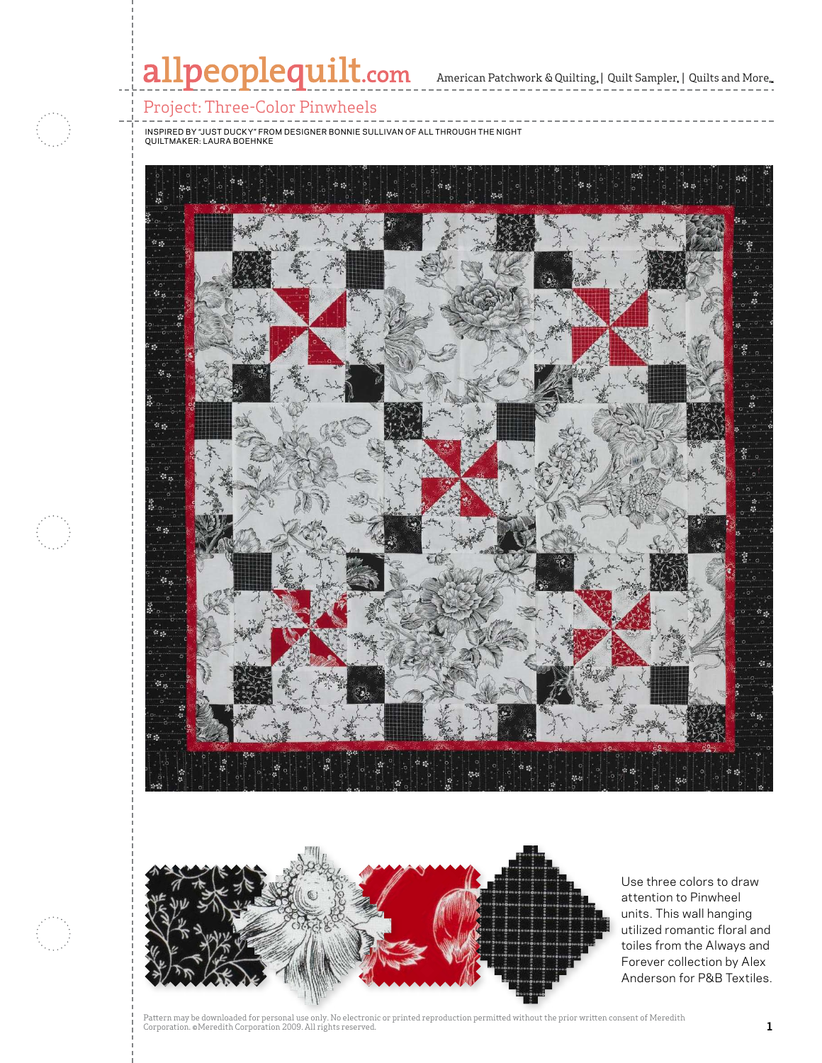

 $\mathbb{R}$  and  $\mathbb{R}$  are particular in  $\mathbb{R}$  and  $\mathbb{R}$ 



Use three colors to draw attention to Pinwheel units. This wall hanging utilized romantic floral and toiles from the Always and Forever collection by Alex Anderson for P&B Textiles.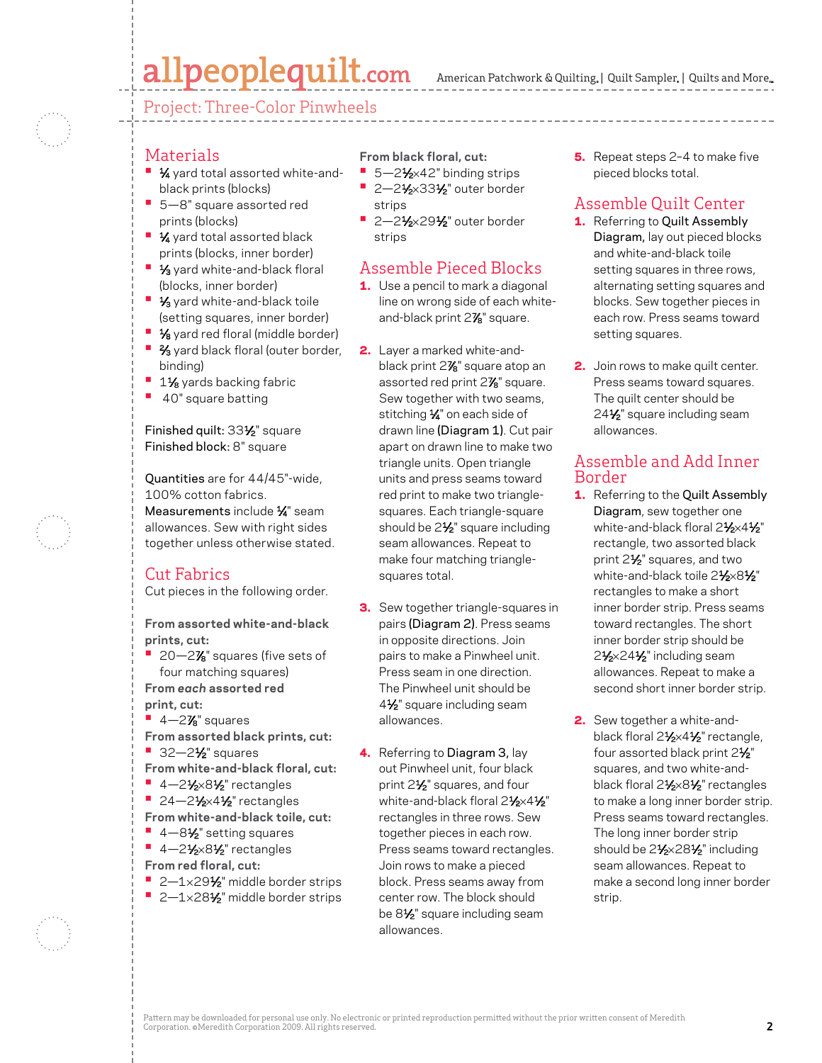## allpeoplequilt.com

American Patchwork & Quilting, | Quilt Sampler, | Quilts and More...

Project: Three-Color Pinwheels

#### Materials

- **1⁄4** yard total assorted white-andblack prints (blocks)
- **•**  5—8" square assorted red prints (blocks)
- **1⁄4** yard total assorted black prints (blocks, inner border)
- **1/<sub>3</sub>** yard white-and-black floral (blocks, inner border)
- **1/3** yard white-and-black toile (setting squares, inner border)
- **•** 1⁄8 yard red floral (middle border)
- <sup>1</sup> <sup>2</sup>/<sub>3</sub> yard black floral (outer border, binding)
- <sup>1</sup> 1<sup>1</sup>⁄<sub>8</sub> yards backing fabric
- **•**  40" square batting

Finished quilt: 331⁄2" square Finished block: 8" square

Quantities are for 44/45"-wide, 100% cotton fabrics. Measurements include 1/4" seam allowances. Sew with right sides together unless otherwise stated.

### Cut Fabrics

Cut pieces in the following order.

**From assorted white-and-black prints, cut:**

**•** 20—2**%**" squares (five sets of four matching squares)

**From** *each* **assorted red**

- **print, cut:**
- **■** 4-2**%**" squares
- **From assorted black prints, cut: •** 32-2<sup>1</sup>/<sub>2</sub>" squares
- **From white-and-black floral, cut:**
- 4-21⁄<sub>2×81</sub>⁄<sub>2</sub>" rectangles
- **24-21/2×41/2** rectangles
- **From white-and-black toile, cut:**
- 4-8½" setting squares
- 4-21⁄2×81⁄2" rectangles **From red floral, cut:**
- 2-1×29<sup>1</sup>⁄<sub>2</sub>" middle border strips
- 2-1×281⁄2" middle border strips

**From black floral, cut:**

- 5–2<sup>1</sup>/<sub>2</sub>×42" binding strips
- **2-21/2×331/2"** outer border strips
- **2-21/2×291/2**" outer border strips

#### Assemble Pieced Blocks

- **1.** Use a pencil to mark a diagonal line on wrong side of each whiteand-black print 27 ⁄8" square.
- 2. Layer a marked white-andblack print 27 ⁄8" square atop an assorted red print 27 ⁄8" square. Sew together with two seams, stitching 1/4" on each side of drawn line (Diagram 1). Cut pair apart on drawn line to make two triangle units. Open triangle units and press seams toward red print to make two trianglesquares. Each triangle-square should be 2<sup>1/2</sup>" square including seam allowances. Repeat to make four matching trianglesquares total.
- **3.** Sew together triangle-squares in pairs (Diagram 2). Press seams in opposite directions. Join pairs to make a Pinwheel unit. Press seam in one direction. The Pinwheel unit should be 41⁄2" square including seam allowances.
- 4. Referring to Diagram 3, lay out Pinwheel unit, four black print 21⁄2" squares, and four white-and-black floral 21/2×41/2" rectangles in three rows. Sew together pieces in each row. Press seams toward rectangles. Join rows to make a pieced block. Press seams away from center row. The block should be 8<sup>1/2</sup> square including seam allowances.

5. Repeat steps 2-4 to make five pieced blocks total.

## Assemble Quilt Center

- 1. Referring to Quilt Assembly Diagram, lay out pieced blocks and white-and-black toile setting squares in three rows, alternating setting squares and blocks. Sew together pieces in each row. Press seams toward setting squares.
- 2. Join rows to make quilt center. Press seams toward squares. The quilt center should be 24<sup>1/2</sup> square including seam allowances.

#### Assemble and Add Inner Border

- 1. Referring to the Quilt Assembly Diagram, sew together one white-and-black floral 21/2×41/2" rectangle, two assorted black print 21⁄2" squares, and two white-and-black toile 21⁄2×81⁄2" rectangles to make a short inner border strip. Press seams toward rectangles. The short inner border strip should be 2<sup>1</sup>/<sub>2</sub>×24<sup>1</sup>/<sub>2</sub>" including seam allowances. Repeat to make a second short inner border strip.
- 2. Sew together a white-andblack floral 21⁄2×41⁄2" rectangle, four assorted black print 21/2" squares, and two white-andblack floral 21⁄2×81⁄2" rectangles to make a long inner border strip. Press seams toward rectangles. The long inner border strip should be 2<sup>1</sup>/<sub>2</sub>×28<sup>1</sup>/<sub>2</sub>" including seam allowances. Repeat to make a second long inner border strip.